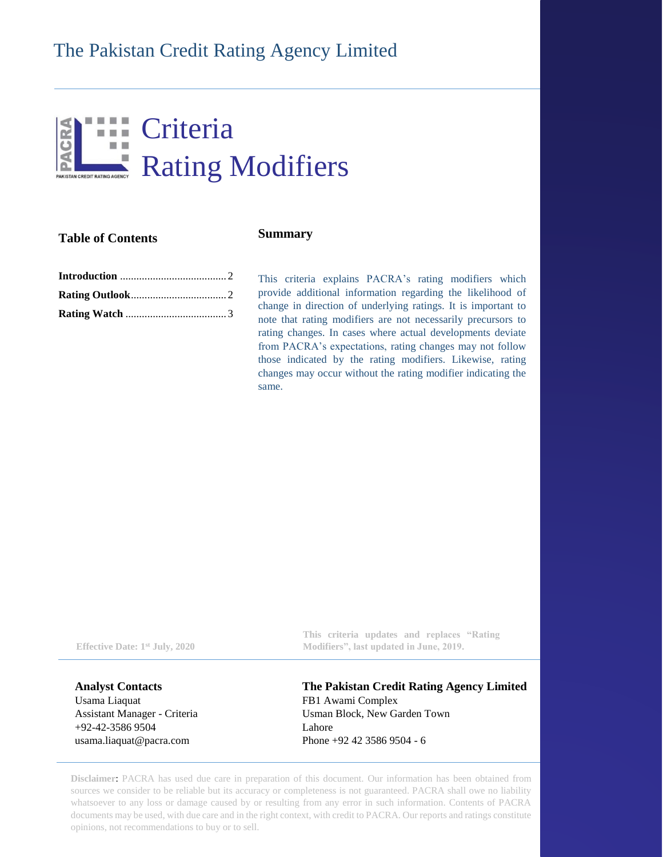# **III** Criteria  $\Box$ P Rating Modifiers

## **Table of Contents**

### **Summary**

This criteria explains PACRA's rating modifiers which provide additional information regarding the likelihood of change in direction of underlying ratings. It is important to note that rating modifiers are not necessarily precursors to rating changes. In cases where actual developments deviate from PACRA's expectations, rating changes may not follow those indicated by the rating modifiers. Likewise, rating changes may occur without the rating modifier indicating the same.

**Effective Date: 1st July, 2020**

**Analyst Contacts** Usama Liaquat Assistant Manager - Criteria +92-42-3586 9504 [usama.liaquat@pacra.com](mailto:Abc.def@pacra.com)

**This criteria updates and replaces "Rating Modifiers", last updated in June, 2019.**

**The Pakistan Credit Rating Agency Limited** FB1 Awami Complex Usman Block, New Garden Town Lahore Phone +92 42 3586 9504 - 6

**Disclaimer**: PACRA has used due care in preparation of this document. Our information has been obtained from sources we consider to be reliable but its accuracy or completeness is not guaranteed. PACRA shall owe no liability whatsoever to any loss or damage caused by or resulting from any error in such information. Contents of PACRA documents may be used, with due care and in the right context, with credit to PACRA. Our reports and ratings constitute opinions, not recommendations to buy or to sell.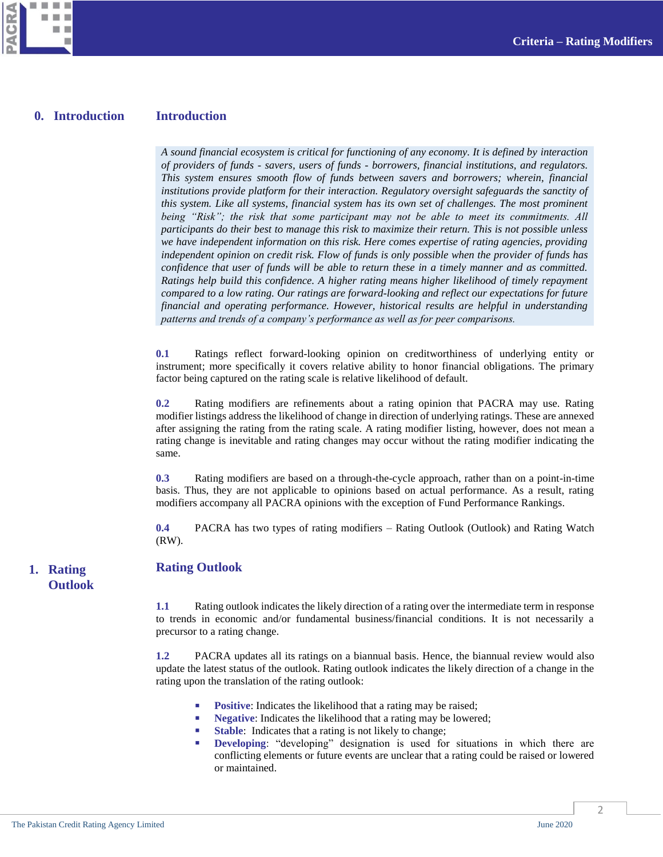

× ш п

CRA

#### **Introduction 0. Introduction**

<span id="page-1-0"></span>*A sound financial ecosystem is critical for functioning of any economy. It is defined by interaction of providers of funds - savers, users of funds - borrowers, financial institutions, and regulators. This system ensures smooth flow of funds between savers and borrowers; wherein, financial institutions provide platform for their interaction. Regulatory oversight safeguards the sanctity of this system. Like all systems, financial system has its own set of challenges. The most prominent being "Risk"; the risk that some participant may not be able to meet its commitments. All participants do their best to manage this risk to maximize their return. This is not possible unless we have independent information on this risk. Here comes expertise of rating agencies, providing independent opinion on credit risk. Flow of funds is only possible when the provider of funds has confidence that user of funds will be able to return these in a timely manner and as committed. Ratings help build this confidence. A higher rating means higher likelihood of timely repayment compared to a low rating. Our ratings are forward-looking and reflect our expectations for future financial and operating performance. However, historical results are helpful in understanding patterns and trends of a company's performance as well as for peer comparisons.*

**0.1** Ratings reflect forward-looking opinion on creditworthiness of underlying entity or instrument; more specifically it covers relative ability to honor financial obligations. The primary factor being captured on the rating scale is relative likelihood of default.

**0.2** Rating modifiers are refinements about a rating opinion that PACRA may use. Rating modifier listings address the likelihood of change in direction of underlying ratings. These are annexed after assigning the rating from the rating scale. A rating modifier listing, however, does not mean a rating change is inevitable and rating changes may occur without the rating modifier indicating the same.

**0.3** Rating modifiers are based on a through-the-cycle approach, rather than on a point-in-time basis. Thus, they are not applicable to opinions based on actual performance. As a result, rating modifiers accompany all PACRA opinions with the exception of Fund Performance Rankings.

<span id="page-1-1"></span>**0.4** PACRA has two types of rating modifiers – Rating Outlook (Outlook) and Rating Watch (RW).

### **Rating Outlook 1. Rating**

**Outlook**

**1.1** Rating outlook indicates the likely direction of a rating over the intermediate term in response to trends in economic and/or fundamental business/financial conditions. It is not necessarily a precursor to a rating change.

**1.2** PACRA updates all its ratings on a biannual basis. Hence, the biannual review would also update the latest status of the outlook. Rating outlook indicates the likely direction of a change in the rating upon the translation of the rating outlook:

- **Positive:** Indicates the likelihood that a rating may be raised;
- **Negative:** Indicates the likelihood that a rating may be lowered;
- **Stable**: Indicates that a rating is not likely to change;
- **Developing**: "developing" designation is used for situations in which there are conflicting elements or future events are unclear that a rating could be raised or lowered or maintained.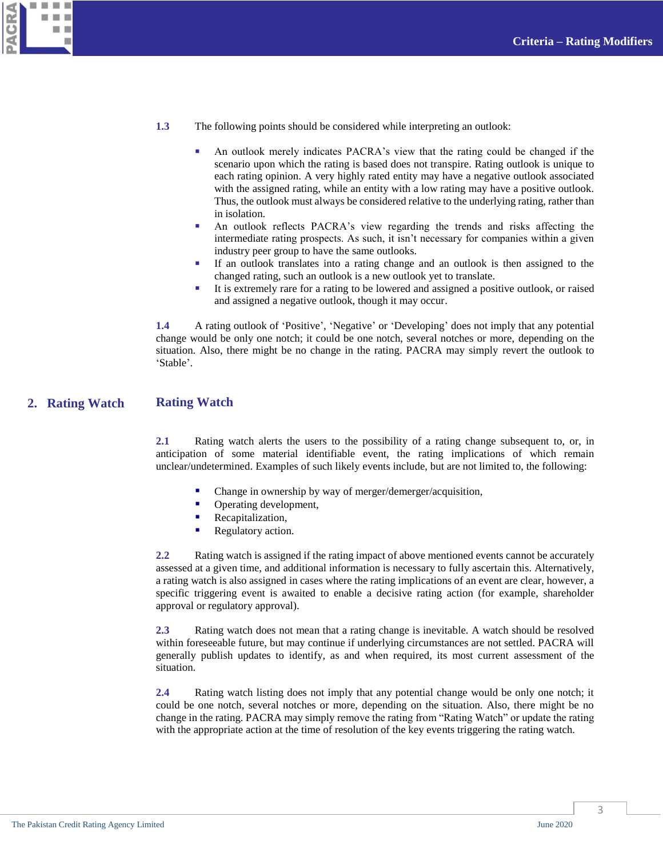

- **1.3** The following points should be considered while interpreting an outlook:
	- An outlook merely indicates PACRA's view that the rating could be changed if the scenario upon which the rating is based does not transpire. Rating outlook is unique to each rating opinion. A very highly rated entity may have a negative outlook associated with the assigned rating, while an entity with a low rating may have a positive outlook. Thus, the outlook must always be considered relative to the underlying rating, rather than in isolation.
	- An outlook reflects PACRA's view regarding the trends and risks affecting the intermediate rating prospects. As such, it isn't necessary for companies within a given industry peer group to have the same outlooks.
	- If an outlook translates into a rating change and an outlook is then assigned to the changed rating, such an outlook is a new outlook yet to translate.
	- It is extremely rare for a rating to be lowered and assigned a positive outlook, or raised and assigned a negative outlook, though it may occur.

**1.4** A rating outlook of 'Positive', 'Negative' or 'Developing' does not imply that any potential change would be only one notch; it could be one notch, several notches or more, depending on the situation. Also, there might be no change in the rating. PACRA may simply revert the outlook to 'Stable'.

#### **Rating Watch 2. Rating Watch**

<span id="page-2-0"></span>**2.1** Rating watch alerts the users to the possibility of a rating change subsequent to, or, in anticipation of some material identifiable event, the rating implications of which remain unclear/undetermined. Examples of such likely events include, but are not limited to, the following:

- Change in ownership by way of merger/demerger/acquisition,
- Operating development,
- Recapitalization,
- Regulatory action.

**2.2** Rating watch is assigned if the rating impact of above mentioned events cannot be accurately assessed at a given time, and additional information is necessary to fully ascertain this. Alternatively, a rating watch is also assigned in cases where the rating implications of an event are clear, however, a specific triggering event is awaited to enable a decisive rating action (for example, shareholder approval or regulatory approval).

**2.3** Rating watch does not mean that a rating change is inevitable. A watch should be resolved within foreseeable future, but may continue if underlying circumstances are not settled. PACRA will generally publish updates to identify, as and when required, its most current assessment of the situation.

**2.4** Rating watch listing does not imply that any potential change would be only one notch; it could be one notch, several notches or more, depending on the situation. Also, there might be no change in the rating. PACRA may simply remove the rating from "Rating Watch" or update the rating with the appropriate action at the time of resolution of the key events triggering the rating watch.